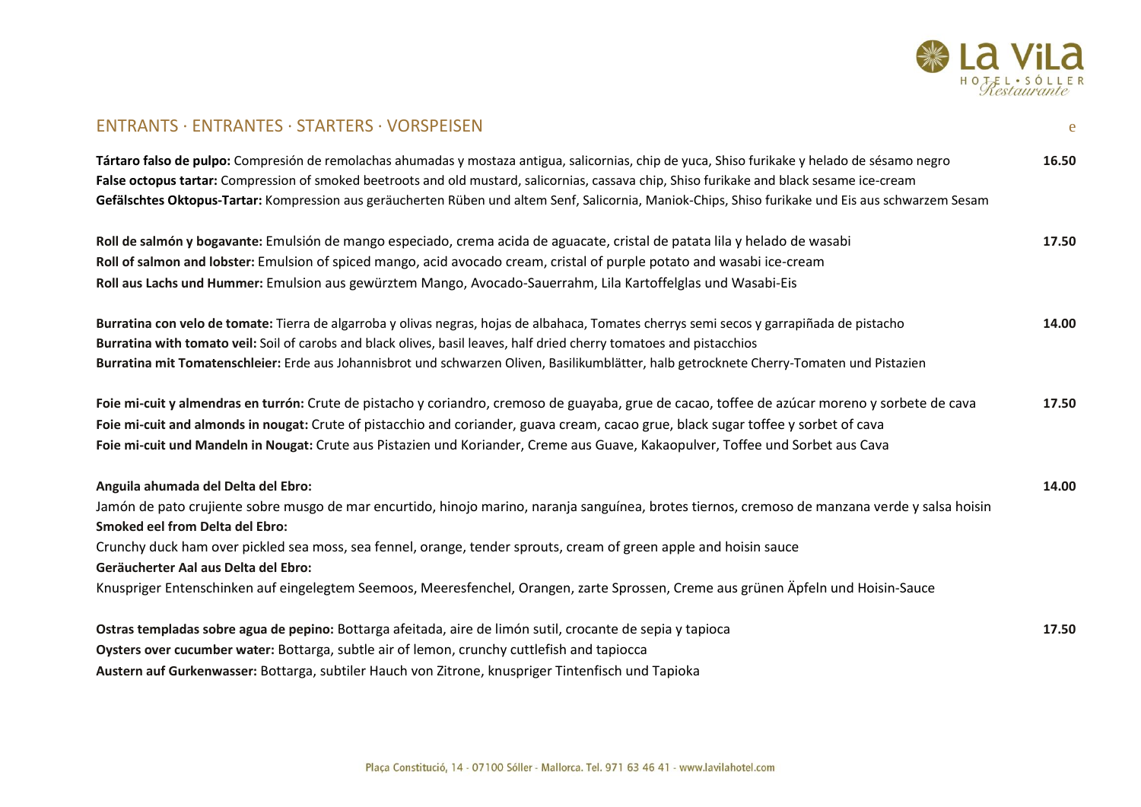

## ENTRANTS · ENTRANTES · STARTERS · VORSPEISEN e

| Tártaro falso de pulpo: Compresión de remolachas ahumadas y mostaza antigua, salicornias, chip de yuca, Shiso furikake y helado de sésamo negro<br>False octopus tartar: Compression of smoked beetroots and old mustard, salicornias, cassava chip, Shiso furikake and black sesame ice-cream<br>Gefälschtes Oktopus-Tartar: Kompression aus geräucherten Rüben und altem Senf, Salicornia, Maniok-Chips, Shiso furikake und Eis aus schwarzem Sesam                                                                               | 16.50 |
|-------------------------------------------------------------------------------------------------------------------------------------------------------------------------------------------------------------------------------------------------------------------------------------------------------------------------------------------------------------------------------------------------------------------------------------------------------------------------------------------------------------------------------------|-------|
| Roll de salmón y bogavante: Emulsión de mango especiado, crema acida de aguacate, cristal de patata lila y helado de wasabi<br>Roll of salmon and lobster: Emulsion of spiced mango, acid avocado cream, cristal of purple potato and wasabi ice-cream<br>Roll aus Lachs und Hummer: Emulsion aus gewürztem Mango, Avocado-Sauerrahm, Lila Kartoffelglas und Wasabi-Eis                                                                                                                                                             | 17.50 |
| Burratina con velo de tomate: Tierra de algarroba y olivas negras, hojas de albahaca, Tomates cherrys semi secos y garrapiñada de pistacho<br>Burratina with tomato veil: Soil of carobs and black olives, basil leaves, half dried cherry tomatoes and pistacchios<br>Burratina mit Tomatenschleier: Erde aus Johannisbrot und schwarzen Oliven, Basilikumblätter, halb getrocknete Cherry-Tomaten und Pistazien                                                                                                                   | 14.00 |
| Foie mi-cuit y almendras en turrón: Crute de pistacho y coriandro, cremoso de guayaba, grue de cacao, toffee de azúcar moreno y sorbete de cava<br>Foie mi-cuit and almonds in nougat: Crute of pistacchio and coriander, guava cream, cacao grue, black sugar toffee y sorbet of cava<br>Foie mi-cuit und Mandeln in Nougat: Crute aus Pistazien und Koriander, Creme aus Guave, Kakaopulver, Toffee und Sorbet aus Cava                                                                                                           | 17.50 |
| Anguila ahumada del Delta del Ebro:<br>Jamón de pato crujiente sobre musgo de mar encurtido, hinojo marino, naranja sanguínea, brotes tiernos, cremoso de manzana verde y salsa hoisin<br><b>Smoked eel from Delta del Ebro:</b><br>Crunchy duck ham over pickled sea moss, sea fennel, orange, tender sprouts, cream of green apple and hoisin sauce<br>Geräucherter Aal aus Delta del Ebro:<br>Knuspriger Entenschinken auf eingelegtem Seemoos, Meeresfenchel, Orangen, zarte Sprossen, Creme aus grünen Äpfeln und Hoisin-Sauce | 14.00 |
| Ostras templadas sobre agua de pepino: Bottarga afeitada, aire de limón sutil, crocante de sepia y tapioca                                                                                                                                                                                                                                                                                                                                                                                                                          | 17.50 |

**Oysters over cucumber water:** Bottarga, subtle air of lemon, crunchy cuttlefish and tapiocca

**Austern auf Gurkenwasser:** Bottarga, subtiler Hauch von Zitrone, knuspriger Tintenfisch und Tapioka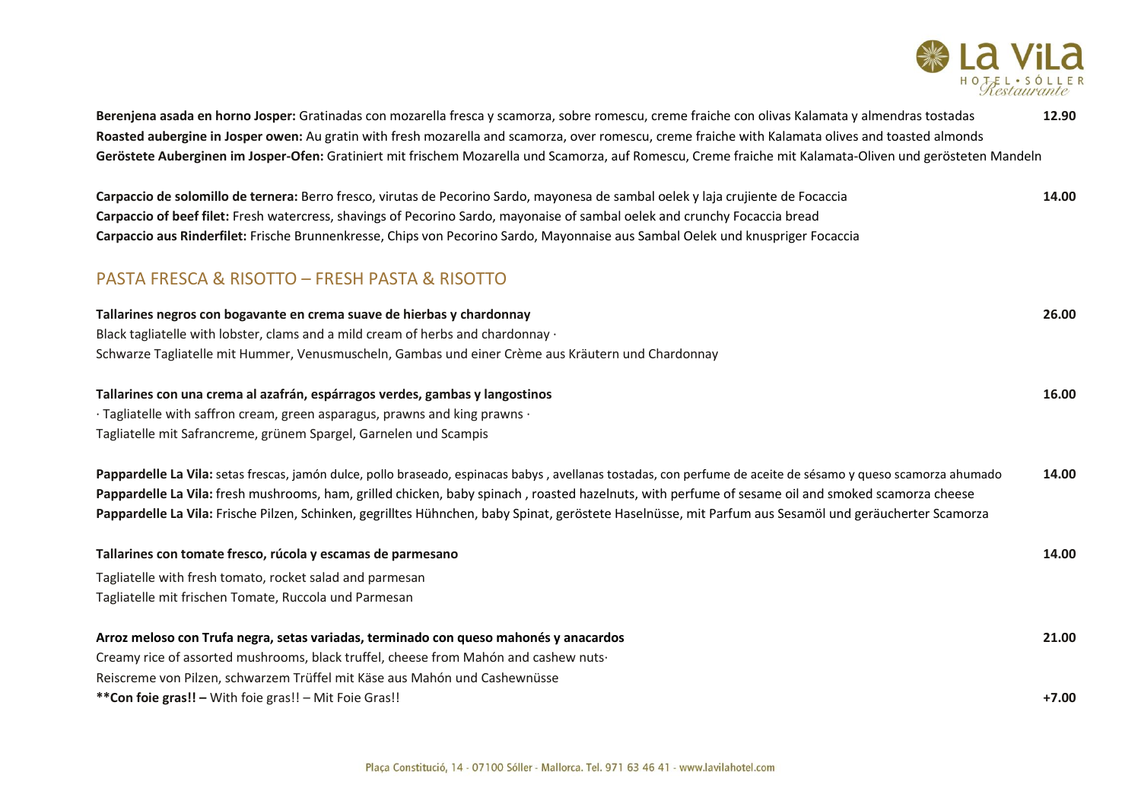

| Berenjena asada en horno Josper: Gratinadas con mozarella fresca y scamorza, sobre romescu, creme fraiche con olivas Kalamata y almendras tostadas<br>Roasted aubergine in Josper owen: Au gratin with fresh mozarella and scamorza, over romescu, creme fraiche with Kalamata olives and toasted almonds<br>Geröstete Auberginen im Josper-Ofen: Gratiniert mit frischem Mozarella und Scamorza, auf Romescu, Creme fraiche mit Kalamata-Oliven und gerösteten Mandeln         | 12.90            |
|---------------------------------------------------------------------------------------------------------------------------------------------------------------------------------------------------------------------------------------------------------------------------------------------------------------------------------------------------------------------------------------------------------------------------------------------------------------------------------|------------------|
| Carpaccio de solomillo de ternera: Berro fresco, virutas de Pecorino Sardo, mayonesa de sambal oelek y laja crujiente de Focaccia<br>Carpaccio of beef filet: Fresh watercress, shavings of Pecorino Sardo, mayonaise of sambal oelek and crunchy Focaccia bread<br>Carpaccio aus Rinderfilet: Frische Brunnenkresse, Chips von Pecorino Sardo, Mayonnaise aus Sambal Oelek und knuspriger Focaccia                                                                             | 14.00            |
| <b>PASTA FRESCA &amp; RISOTTO - FRESH PASTA &amp; RISOTTO</b>                                                                                                                                                                                                                                                                                                                                                                                                                   |                  |
| Tallarines negros con bogavante en crema suave de hierbas y chardonnay<br>Black tagliatelle with lobster, clams and a mild cream of herbs and chardonnay ·<br>Schwarze Tagliatelle mit Hummer, Venusmuscheln, Gambas und einer Crème aus Kräutern und Chardonnay                                                                                                                                                                                                                | 26.00            |
| Tallarines con una crema al azafrán, espárragos verdes, gambas y langostinos<br>· Tagliatelle with saffron cream, green asparagus, prawns and king prawns ·<br>Tagliatelle mit Safrancreme, grünem Spargel, Garnelen und Scampis                                                                                                                                                                                                                                                | 16.00            |
| Pappardelle La Vila: setas frescas, jamón dulce, pollo braseado, espinacas babys, avellanas tostadas, con perfume de aceite de sésamo y queso scamorza ahumado<br>Pappardelle La Vila: fresh mushrooms, ham, grilled chicken, baby spinach, roasted hazelnuts, with perfume of sesame oil and smoked scamorza cheese<br>Pappardelle La Vila: Frische Pilzen, Schinken, gegrilltes Hühnchen, baby Spinat, geröstete Haselnüsse, mit Parfum aus Sesamöl und geräucherter Scamorza | 14.00            |
| Tallarines con tomate fresco, rúcola y escamas de parmesano<br>Tagliatelle with fresh tomato, rocket salad and parmesan<br>Tagliatelle mit frischen Tomate, Ruccola und Parmesan                                                                                                                                                                                                                                                                                                | 14.00            |
| Arroz meloso con Trufa negra, setas variadas, terminado con queso mahonés y anacardos<br>Creamy rice of assorted mushrooms, black truffel, cheese from Mahón and cashew nuts-<br>Reiscreme von Pilzen, schwarzem Trüffel mit Käse aus Mahón und Cashewnüsse<br>** Con foie gras!! - With foie gras!! - Mit Foie Gras!!                                                                                                                                                          | 21.00<br>$+7.00$ |
|                                                                                                                                                                                                                                                                                                                                                                                                                                                                                 |                  |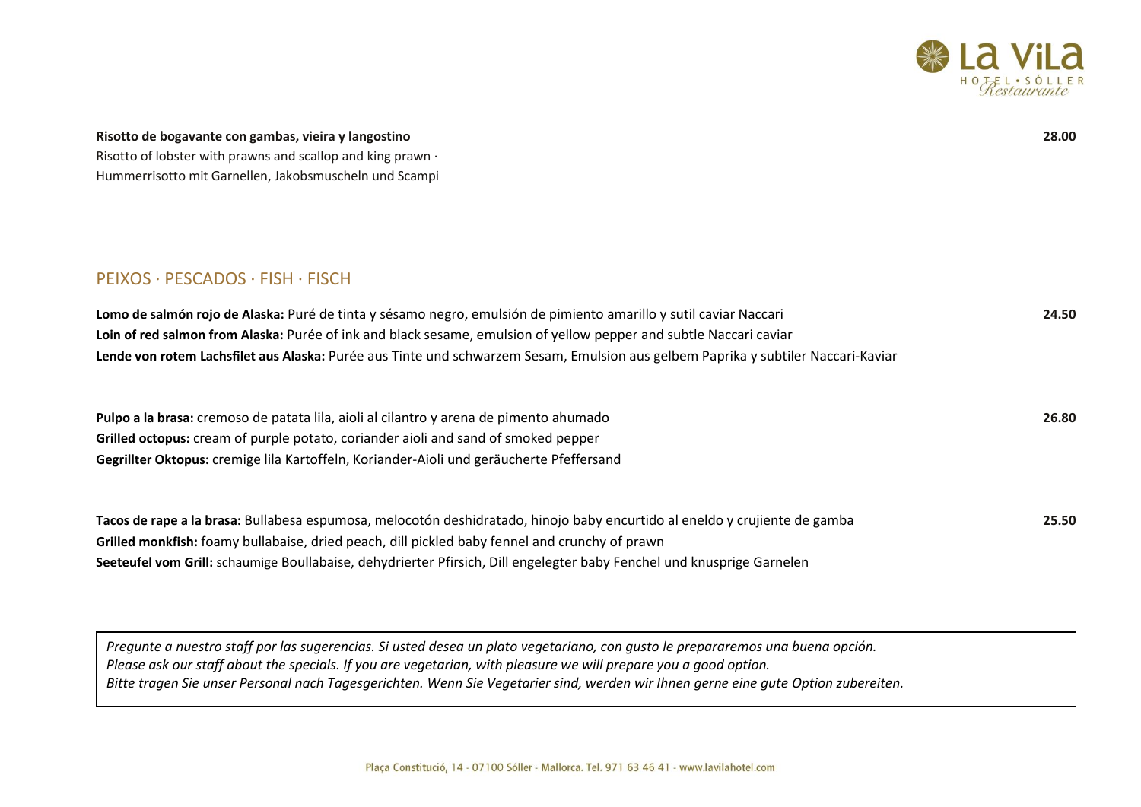

## **Risotto de bogavante con gambas, vieira y langostino 28.00**

Risotto of lobster with prawns and scallop and king prawn · Hummerrisotto mit Garnellen, Jakobsmuscheln und Scampi

## PEIXOS · PESCADOS · FISH · FISCH

| Lomo de salmón rojo de Alaska: Puré de tinta y sésamo negro, emulsión de pimiento amarillo y sutil caviar Naccari                 | 24.50 |
|-----------------------------------------------------------------------------------------------------------------------------------|-------|
| Loin of red salmon from Alaska: Purée of ink and black sesame, emulsion of yellow pepper and subtle Naccari caviar                |       |
| Lende von rotem Lachsfilet aus Alaska: Purée aus Tinte und schwarzem Sesam, Emulsion aus gelbem Paprika y subtiler Naccari-Kaviar |       |
|                                                                                                                                   |       |

**Pulpo a la brasa:** cremoso de patata lila, aioli al cilantro y arena de pimento ahumado **26.80 Grilled octopus:** cream of purple potato, coriander aioli and sand of smoked pepper **Gegrillter Oktopus:** cremige lila Kartoffeln, Koriander-Aioli und geräucherte Pfeffersand

| Tacos de rape a la brasa: Bullabesa espumosa, melocotón deshidratado, hinojo baby encurtido al eneldo y crujiente de gamba | 25.50 |
|----------------------------------------------------------------------------------------------------------------------------|-------|
| Grilled monkfish: foamy bullabaise, dried peach, dill pickled baby fennel and crunchy of prawn                             |       |
| Seeteufel vom Grill: schaumige Boullabaise, dehydrierter Pfirsich, Dill engelegter baby Fenchel und knusprige Garnelen     |       |

*Pregunte a nuestro staff por las sugerencias. Si usted desea un plato vegetariano, con gusto le prepararemos una buena opción. Please ask our staff about the specials. If you are vegetarian, with pleasure we will prepare you a good option. Bitte tragen Sie unser Personal nach Tagesgerichten. Wenn Sie Vegetarier sind, werden wir Ihnen gerne eine gute Option zubereiten.*